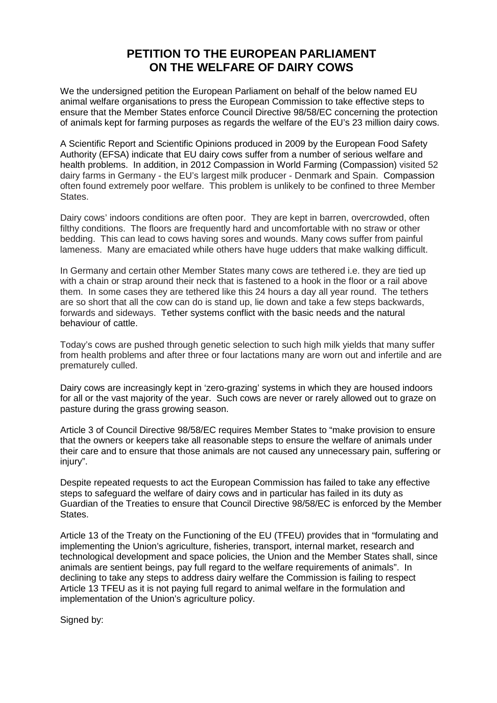# **PETITION TO THE EUROPEAN PARLIAMENT ON THE WELFARE OF DAIRY COWS**

We the undersigned petition the European Parliament on behalf of the below named EU animal welfare organisations to press the European Commission to take effective steps to ensure that the Member States enforce Council Directive 98/58/EC concerning the protection of animals kept for farming purposes as regards the welfare of the EU's 23 million dairy cows.

A Scientific Report and Scientific Opinions produced in 2009 by the European Food Safety Authority (EFSA) indicate that EU dairy cows suffer from a number of serious welfare and health problems. In addition, in 2012 Compassion in World Farming (Compassion) visited 52 dairy farms in Germany - the EU's largest milk producer - Denmark and Spain. Compassion often found extremely poor welfare. This problem is unlikely to be confined to three Member States.

Dairy cows' indoors conditions are often poor. They are kept in barren, overcrowded, often filthy conditions. The floors are frequently hard and uncomfortable with no straw or other bedding. This can lead to cows having sores and wounds. Many cows suffer from painful lameness. Many are emaciated while others have huge udders that make walking difficult.

In Germany and certain other Member States many cows are tethered i.e. they are tied up with a chain or strap around their neck that is fastened to a hook in the floor or a rail above them. In some cases they are tethered like this 24 hours a day all year round. The tethers are so short that all the cow can do is stand up, lie down and take a few steps backwards, forwards and sideways. Tether systems conflict with the basic needs and the natural behaviour of cattle.

Today's cows are pushed through genetic selection to such high milk yields that many suffer from health problems and after three or four lactations many are worn out and infertile and are prematurely culled.

Dairy cows are increasingly kept in 'zero-grazing' systems in which they are housed indoors for all or the vast majority of the year. Such cows are never or rarely allowed out to graze on pasture during the grass growing season.

Article 3 of Council Directive 98/58/EC requires Member States to "make provision to ensure that the owners or keepers take all reasonable steps to ensure the welfare of animals under their care and to ensure that those animals are not caused any unnecessary pain, suffering or injury".

Despite repeated requests to act the European Commission has failed to take any effective steps to safeguard the welfare of dairy cows and in particular has failed in its duty as Guardian of the Treaties to ensure that Council Directive 98/58/EC is enforced by the Member States.

Article 13 of the Treaty on the Functioning of the EU (TFEU) provides that in "formulating and implementing the Union's agriculture, fisheries, transport, internal market, research and technological development and space policies, the Union and the Member States shall, since animals are sentient beings, pay full regard to the welfare requirements of animals". In declining to take any steps to address dairy welfare the Commission is failing to respect Article 13 TFEU as it is not paying full regard to animal welfare in the formulation and implementation of the Union's agriculture policy.

Signed by: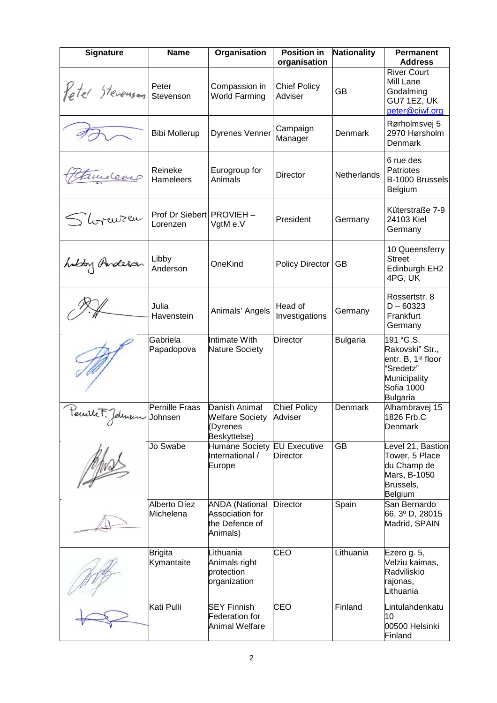| Signature              | <b>Name</b>                           | Organisation                                                           | <b>Position in</b><br>organisation | <b>Nationality</b> | <b>Permanent</b><br><b>Address</b>                                                                                    |
|------------------------|---------------------------------------|------------------------------------------------------------------------|------------------------------------|--------------------|-----------------------------------------------------------------------------------------------------------------------|
| <i>Yetel</i> Stevenson | Peter<br>Stevenson                    | Compassion in<br><b>World Farming</b>                                  | <b>Chief Policy</b><br>Adviser     | GB                 | <b>River Court</b><br>Mill Lane<br>Godalming<br>GU7 1EZ, UK<br>peter@ciwf.org                                         |
|                        | <b>Bibi Mollerup</b>                  | <b>Dyrenes Venner</b>                                                  | Campaign<br>Manager                | Denmark            | Rørholmsvej 5<br>2970 Hørsholm<br>Denmark                                                                             |
| Tureleeep              | Reineke<br><b>Hameleers</b>           | Eurogroup for<br>Animals                                               | Director                           | Netherlands        | 6 rue des<br>Patriotes<br>B-1000 Brussels<br>Belgium                                                                  |
| S horenzen             | Prof Dr Siebert PROVIEH -<br>Lorenzen | VgtM e.V                                                               | President                          | Germany            | Küterstraße 7-9<br>24103 Kiel<br>Germany                                                                              |
| hubby Anderson         | Libby<br>Anderson                     | OneKind                                                                | Policy Director                    | GB                 | 10 Queensferry<br><b>Street</b><br>Edinburgh EH2<br>4PG, UK                                                           |
|                        | Julia<br>Havenstein                   | Animals' Angels                                                        | Head of<br>Investigations          | Germany            | Rossertstr, 8<br>$D - 60323$<br>Frankfurt<br>Germany                                                                  |
|                        | Gabriela<br>Papadopova                | Intimate With<br><b>Nature Society</b>                                 | Director                           | <b>Bulgaria</b>    | 191 "G.S.<br>Rakovski" Str.,<br>entr. B, 1 <sup>st</sup> floor<br>"Sredetz"<br>Municipality<br>Sofia 1000<br>Bulgaria |
| Pecule F. Johnson      | Pernille Fraas<br>Johnsen             | Danish Animal<br><b>Welfare Society</b><br>Dyrenes<br>Beskyttelse)     | <b>Chief Policy</b><br>Adviser     | Denmark            | Alhambravej 15<br>1826 Frb.C<br>Denmark                                                                               |
|                        | Jo Swabe                              | Humane Society EU Executive<br>International /<br>Europe               | <b>Director</b>                    | GB                 | Level 21, Bastion<br>Tower, 5 Place<br>du Champ de<br>Mars, B-1050<br>Brussels,<br>Belgium                            |
|                        | Alberto Díez<br>Michelena             | <b>ANDA (National</b><br>Association for<br>the Defence of<br>Animals) | <b>Director</b>                    | Spain              | San Bernardo<br>66, 3º D, 28015<br>Madrid, SPAIN                                                                      |
|                        | <b>Brigita</b><br>Kymantaite          | Lithuania<br>Animals right<br>protection<br>organization               | <b>CEO</b>                         | Lithuania          | Ezero g. 5,<br>Velziu kaimas,<br>Radviliskio<br>rajonas,<br>Lithuania                                                 |
|                        | Kati Pulli                            | <b>SEY Finnish</b><br><b>Federation for</b><br><b>Animal Welfare</b>   | <b>CEO</b>                         | Finland            | Lintulahdenkatu<br>10<br>00500 Helsinki<br>Finland                                                                    |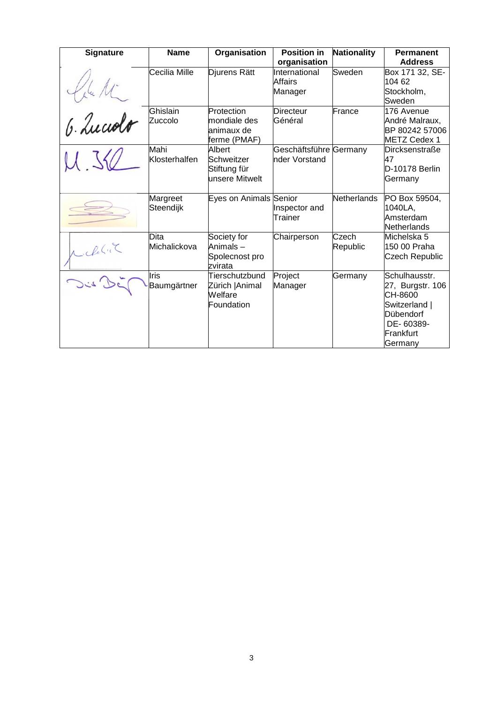| <b>Signature</b> | <b>Name</b>           | Organisation                                               | <b>Position in</b><br>organisation      | <b>Nationality</b> | <b>Permanent</b><br><b>Address</b>                                                                              |
|------------------|-----------------------|------------------------------------------------------------|-----------------------------------------|--------------------|-----------------------------------------------------------------------------------------------------------------|
|                  | Cecilia Mille         | Djurens Rätt                                               | International<br>Affairs<br>Manager     | Sweden             | Box 171 32, SE-<br>104 62<br>Stockholm,<br>Sweden                                                               |
| 6. Luccolo       | Ghislain<br>Zuccolo   | Protection<br>mondiale des<br>animaux de<br>ferme (PMAF)   | <b>Directeur</b><br>Général             | France             | 176 Avenue<br>André Malraux,<br>BP 80242 57006<br><b>METZ Cedex 1</b>                                           |
|                  | Mahi<br>Klosterhalfen | Albert<br>Schweitzer<br>Stiftung für<br>unsere Mitwelt     | Geschäftsführe Germany<br>nder Vorstand |                    | <b>Dircksenstraße</b><br>47<br>D-10178 Berlin<br>Germany                                                        |
|                  | Margreet<br>Steendijk | Eyes on Animals Senior                                     | Inspector and<br>Trainer                | Netherlands        | PO Box 59504,<br>1040LA,<br>Amsterdam<br><b>Netherlands</b>                                                     |
| Michalic         | Dita<br>Michalickova  | Society for<br>Animals-<br>Spolecnost pro<br>zvirata       | Chairperson                             | Czech<br>Republic  | Michelska 5<br>150 00 Praha<br>Czech Republic                                                                   |
|                  | Iris<br>Baumgärtner   | Tierschutzbund<br>Zürich   Animal<br>Welfare<br>Foundation | Project<br>Manager                      | Germany            | Schulhausstr.<br>27, Burgstr. 106<br>CH-8600<br>Switzerland  <br>Dübendorf<br>DE-60389-<br>Frankfurt<br>Germany |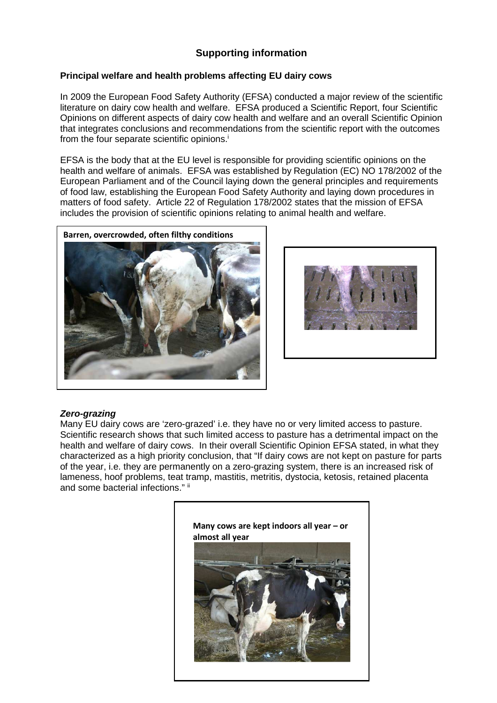# **Supporting information**

### **Principal welfare and health problems affecting EU dairy cows**

In 2009 the European Food Safety Authority (EFSA) conducted a major review of the scientific literature on dairy cow health and welfare. EFSA produced a Scientific Report, four Scientific Opinions on different aspects of dairy cow health and welfare and an overall Scientific Opinion that integrates conclusions and recommendations from the scientific report with the outcomes from the four separate scientific opinions.<sup>i</sup>

EFSA is the body that at the EU level is responsible for providing scientific opinions on the health and welfare of animals. EFSA was established by Regulation (EC) NO 178/2002 of the European Parliament and of the Council laying down the general principles and requirements of food law, establishing the European Food Safety Authority and laying down procedures in matters of food safety. Article 22 of Regulation 178/2002 states that the mission of EFSA includes the provision of scientific opinions relating to animal health and welfare.





### **Zero-grazing**

Many EU dairy cows are 'zero-grazed' i.e. they have no or very limited access to pasture. Scientific research shows that such limited access to pasture has a detrimental impact on the health and welfare of dairy cows. In their overall Scientific Opinion EFSA stated, in what they characterized as a high priority conclusion, that "If dairy cows are not kept on pasture for parts of the year, i.e. they are permanently on a zero-grazing system, there is an increased risk of lameness, hoof problems, teat tramp, mastitis, metritis, dystocia, ketosis, retained placenta and some bacterial infections." ii

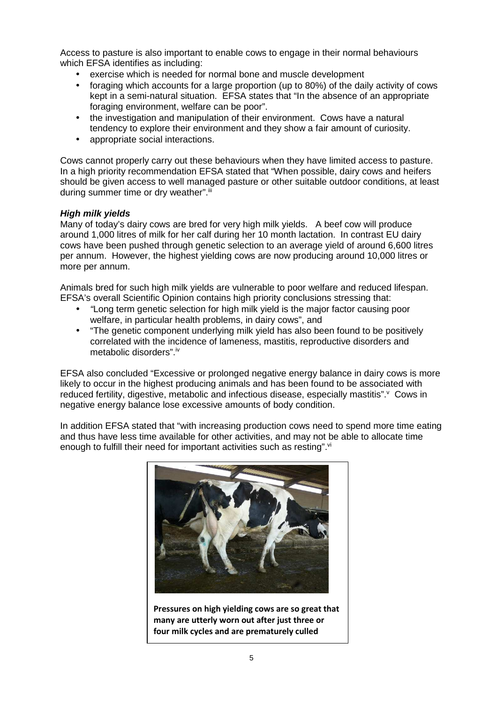Access to pasture is also important to enable cows to engage in their normal behaviours which EFSA identifies as including:

- exercise which is needed for normal bone and muscle development
- foraging which accounts for a large proportion (up to 80%) of the daily activity of cows kept in a semi-natural situation. EFSA states that "In the absence of an appropriate foraging environment, welfare can be poor".
- the investigation and manipulation of their environment. Cows have a natural tendency to explore their environment and they show a fair amount of curiosity.
- appropriate social interactions.

Cows cannot properly carry out these behaviours when they have limited access to pasture. In a high priority recommendation EFSA stated that "When possible, dairy cows and heifers should be given access to well managed pasture or other suitable outdoor conditions, at least during summer time or dry weather".iii

### **High milk yields**

Many of today's dairy cows are bred for very high milk yields. A beef cow will produce around 1,000 litres of milk for her calf during her 10 month lactation. In contrast EU dairy cows have been pushed through genetic selection to an average yield of around 6,600 litres per annum. However, the highest yielding cows are now producing around 10,000 litres or more per annum.

Animals bred for such high milk yields are vulnerable to poor welfare and reduced lifespan. EFSA's overall Scientific Opinion contains high priority conclusions stressing that:

- "Long term genetic selection for high milk yield is the major factor causing poor welfare, in particular health problems, in dairy cows", and
- "The genetic component underlying milk yield has also been found to be positively correlated with the incidence of lameness, mastitis, reproductive disorders and metabolic disorders".iv

EFSA also concluded "Excessive or prolonged negative energy balance in dairy cows is more likely to occur in the highest producing animals and has been found to be associated with reduced fertility, digestive, metabolic and infectious disease, especially mastitis". Cows in negative energy balance lose excessive amounts of body condition.

In addition EFSA stated that "with increasing production cows need to spend more time eating and thus have less time available for other activities, and may not be able to allocate time enough to fulfill their need for important activities such as resting". $\mathrm{v}$ 



**Pressures on high yielding cows are so great that many are utterly worn out after just three or four milk cycles and are prematurely culled**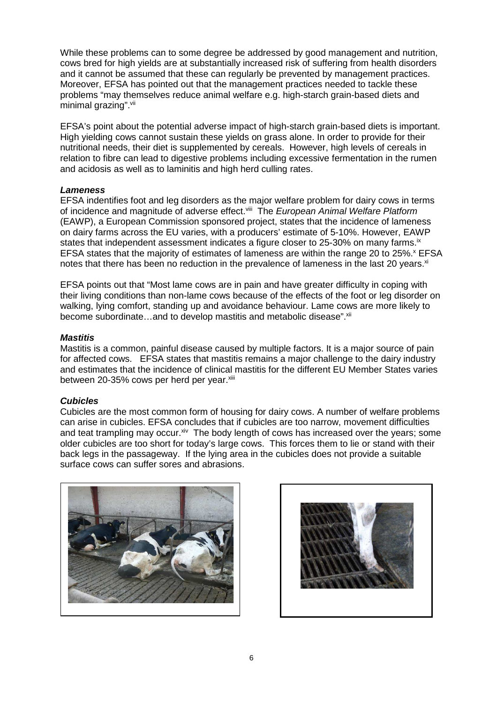While these problems can to some degree be addressed by good management and nutrition, cows bred for high yields are at substantially increased risk of suffering from health disorders and it cannot be assumed that these can regularly be prevented by management practices. Moreover, EFSA has pointed out that the management practices needed to tackle these problems "may themselves reduce animal welfare e.g. high-starch grain-based diets and minimal grazing".<sup>vii</sup>

EFSA's point about the potential adverse impact of high-starch grain-based diets is important. High yielding cows cannot sustain these yields on grass alone. In order to provide for their nutritional needs, their diet is supplemented by cereals. However, high levels of cereals in relation to fibre can lead to digestive problems including excessive fermentation in the rumen and acidosis as well as to laminitis and high herd culling rates.

### **Lameness**

EFSA indentifies foot and leg disorders as the major welfare problem for dairy cows in terms of incidence and magnitude of adverse effect. Viii The European Animal Welfare Platform (EAWP), a European Commission sponsored project, states that the incidence of lameness on dairy farms across the EU varies, with a producers' estimate of 5-10%. However, EAWP states that independent assessment indicates a figure closer to 25-30% on many farms. $i$  x EFSA states that the majority of estimates of lameness are within the range 20 to 25%.<sup>x</sup> EFSA notes that there has been no reduction in the prevalence of lameness in the last 20 years. $x_i$ 

EFSA points out that "Most lame cows are in pain and have greater difficulty in coping with their living conditions than non-lame cows because of the effects of the foot or leg disorder on walking, lying comfort, standing up and avoidance behaviour. Lame cows are more likely to become subordinate...and to develop mastitis and metabolic disease". <sup>xii</sup>

### **Mastitis**

Mastitis is a common, painful disease caused by multiple factors. It is a major source of pain for affected cows. EFSA states that mastitis remains a major challenge to the dairy industry and estimates that the incidence of clinical mastitis for the different EU Member States varies between 20-35% cows per herd per year.<sup>xiii</sup>

### **Cubicles**

Cubicles are the most common form of housing for dairy cows. A number of welfare problems can arise in cubicles. EFSA concludes that if cubicles are too narrow, movement difficulties and teat trampling may occur.<sup>xiv</sup> The body length of cows has increased over the years; some older cubicles are too short for today's large cows. This forces them to lie or stand with their back legs in the passageway. If the lying area in the cubicles does not provide a suitable surface cows can suffer sores and abrasions.



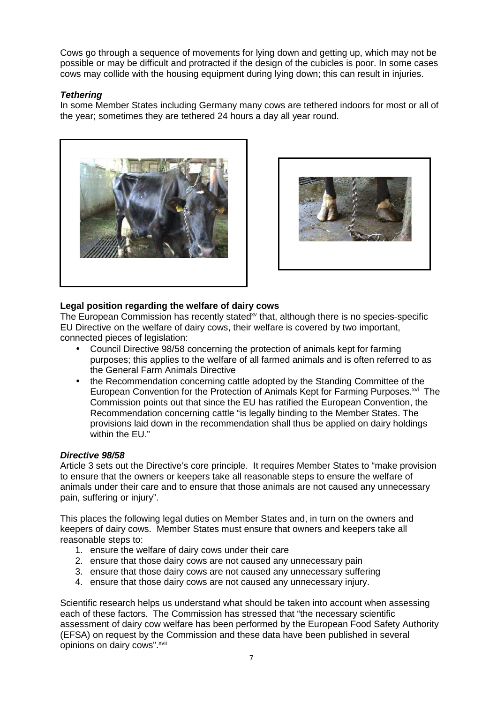Cows go through a sequence of movements for lying down and getting up, which may not be possible or may be difficult and protracted if the design of the cubicles is poor. In some cases cows may collide with the housing equipment during lying down; this can result in injuries.

### **Tethering**

In some Member States including Germany many cows are tethered indoors for most or all of the year; sometimes they are tethered 24 hours a day all year round.





## **Legal position regarding the welfare of dairy cows**

The European Commission has recently stated<sup>xy</sup> that, although there is no species-specific EU Directive on the welfare of dairy cows, their welfare is covered by two important, connected pieces of legislation:

- Council Directive 98/58 concerning the protection of animals kept for farming purposes; this applies to the welfare of all farmed animals and is often referred to as the General Farm Animals Directive
- the Recommendation concerning cattle adopted by the Standing Committee of the European Convention for the Protection of Animals Kept for Farming Purposes.<sup>xvi</sup> The Commission points out that since the EU has ratified the European Convention, the Recommendation concerning cattle "is legally binding to the Member States. The provisions laid down in the recommendation shall thus be applied on dairy holdings within the EU."

### **Directive 98/58**

Article 3 sets out the Directive's core principle. It requires Member States to "make provision to ensure that the owners or keepers take all reasonable steps to ensure the welfare of animals under their care and to ensure that those animals are not caused any unnecessary pain, suffering or injury".

This places the following legal duties on Member States and, in turn on the owners and keepers of dairy cows. Member States must ensure that owners and keepers take all reasonable steps to:

- 1. ensure the welfare of dairy cows under their care
- 2. ensure that those dairy cows are not caused any unnecessary pain
- 3. ensure that those dairy cows are not caused any unnecessary suffering
- 4. ensure that those dairy cows are not caused any unnecessary injury.

Scientific research helps us understand what should be taken into account when assessing each of these factors. The Commission has stressed that "the necessary scientific assessment of dairy cow welfare has been performed by the European Food Safety Authority (EFSA) on request by the Commission and these data have been published in several opinions on dairy cows".<sup>xvii</sup>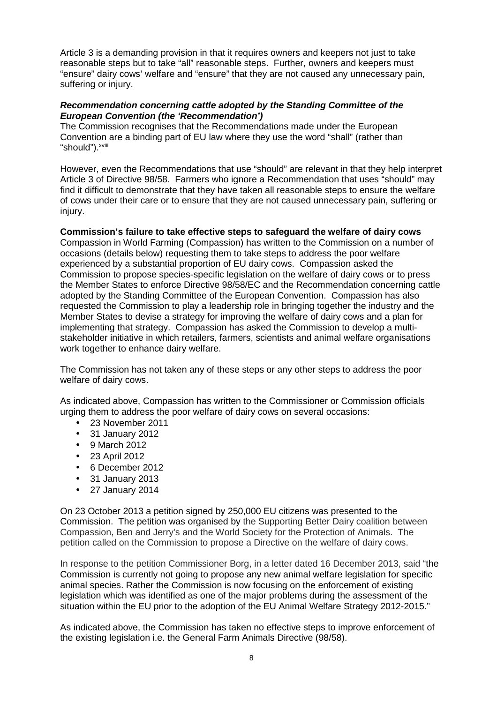Article 3 is a demanding provision in that it requires owners and keepers not just to take reasonable steps but to take "all" reasonable steps. Further, owners and keepers must "ensure" dairy cows' welfare and "ensure" that they are not caused any unnecessary pain, suffering or injury.

#### **Recommendation concerning cattle adopted by the Standing Committee of the European Convention (the 'Recommendation')**

The Commission recognises that the Recommendations made under the European Convention are a binding part of EU law where they use the word "shall" (rather than "should").<sup>xviii</sup>

However, even the Recommendations that use "should" are relevant in that they help interpret Article 3 of Directive 98/58. Farmers who ignore a Recommendation that uses "should" may find it difficult to demonstrate that they have taken all reasonable steps to ensure the welfare of cows under their care or to ensure that they are not caused unnecessary pain, suffering or injury.

#### **Commission's failure to take effective steps to safeguard the welfare of dairy cows**

Compassion in World Farming (Compassion) has written to the Commission on a number of occasions (details below) requesting them to take steps to address the poor welfare experienced by a substantial proportion of EU dairy cows. Compassion asked the Commission to propose species-specific legislation on the welfare of dairy cows or to press the Member States to enforce Directive 98/58/EC and the Recommendation concerning cattle adopted by the Standing Committee of the European Convention. Compassion has also requested the Commission to play a leadership role in bringing together the industry and the Member States to devise a strategy for improving the welfare of dairy cows and a plan for implementing that strategy. Compassion has asked the Commission to develop a multistakeholder initiative in which retailers, farmers, scientists and animal welfare organisations work together to enhance dairy welfare.

The Commission has not taken any of these steps or any other steps to address the poor welfare of dairy cows.

As indicated above, Compassion has written to the Commissioner or Commission officials urging them to address the poor welfare of dairy cows on several occasions:

- 23 November 2011
- 31 January 2012
- 9 March 2012
- 23 April 2012
- 6 December 2012
- 31 January 2013
- 27 January 2014

On 23 October 2013 a petition signed by 250,000 EU citizens was presented to the Commission. The petition was organised by the Supporting Better Dairy coalition between Compassion, Ben and Jerry's and the World Society for the Protection of Animals. The petition called on the Commission to propose a Directive on the welfare of dairy cows.

In response to the petition Commissioner Borg, in a letter dated 16 December 2013, said "the Commission is currently not going to propose any new animal welfare legislation for specific animal species. Rather the Commission is now focusing on the enforcement of existing legislation which was identified as one of the major problems during the assessment of the situation within the EU prior to the adoption of the EU Animal Welfare Strategy 2012-2015."

As indicated above, the Commission has taken no effective steps to improve enforcement of the existing legislation i.e. the General Farm Animals Directive (98/58).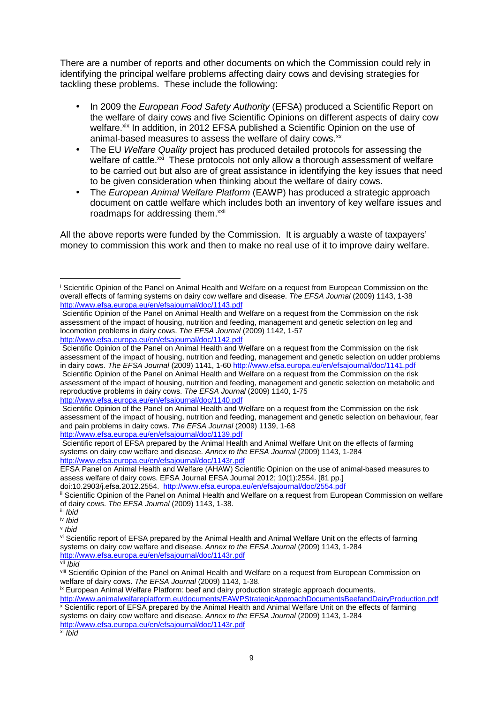There are a number of reports and other documents on which the Commission could rely in identifying the principal welfare problems affecting dairy cows and devising strategies for tackling these problems. These include the following:

- In 2009 the European Food Safety Authority (EFSA) produced a Scientific Report on the welfare of dairy cows and five Scientific Opinions on different aspects of dairy cow welfare.<sup>xix</sup> In addition, in 2012 EFSA published a Scientific Opinion on the use of animal-based measures to assess the welfare of dairy cows. $x^2$
- The EU Welfare Quality project has produced detailed protocols for assessing the welfare of cattle.<sup>xxi</sup> These protocols not only allow a thorough assessment of welfare to be carried out but also are of great assistance in identifying the key issues that need to be given consideration when thinking about the welfare of dairy cows.
- The European Animal Welfare Platform (EAWP) has produced a strategic approach document on cattle welfare which includes both an inventory of key welfare issues and roadmaps for addressing them.<sup>xxii</sup>

All the above reports were funded by the Commission. It is arguably a waste of taxpayers' money to commission this work and then to make no real use of it to improve dairy welfare.

http://www.efsa.europa.eu/en/efsajournal/doc/1140.pdf

l

 $x_i$  Ibid

i Scientific Opinion of the Panel on Animal Health and Welfare on a request from European Commission on the overall effects of farming systems on dairy cow welfare and disease. The EFSA Journal (2009) 1143, 1-38 http://www.efsa.europa.eu/en/efsajournal/doc/1143.pdf

Scientific Opinion of the Panel on Animal Health and Welfare on a request from the Commission on the risk assessment of the impact of housing, nutrition and feeding, management and genetic selection on leg and locomotion problems in dairy cows. The EFSA Journal (2009) 1142, 1-57

http://www.efsa.europa.eu/en/efsajournal/doc/1142.pdf Scientific Opinion of the Panel on Animal Health and Welfare on a request from the Commission on the risk

assessment of the impact of housing, nutrition and feeding, management and genetic selection on udder problems in dairy cows. The EFSA Journal (2009) 1141, 1-60 http://www.efsa.europa.eu/en/efsajournal/doc/1141.pdf Scientific Opinion of the Panel on Animal Health and Welfare on a request from the Commission on the risk assessment of the impact of housing, nutrition and feeding, management and genetic selection on metabolic and reproductive problems in dairy cows. The EFSA Journal (2009) 1140, 1-75

Scientific Opinion of the Panel on Animal Health and Welfare on a request from the Commission on the risk assessment of the impact of housing, nutrition and feeding, management and genetic selection on behaviour, fear and pain problems in dairy cows. The EFSA Journal (2009) 1139, 1-68 http://www.efsa.europa.eu/en/efsajournal/doc/1139.pdf

Scientific report of EFSA prepared by the Animal Health and Animal Welfare Unit on the effects of farming systems on dairy cow welfare and disease. Annex to the EFSA Journal (2009) 1143, 1-284 http://www.efsa.europa.eu/en/efsajournal/doc/1143r.pdf

EFSA Panel on Animal Health and Welfare (AHAW) Scientific Opinion on the use of animal-based measures to assess welfare of dairy cows. EFSA Journal EFSA Journal 2012; 10(1):2554. [81 pp.]

doi:10.2903/j.efsa.2012.2554. http://www.efsa.europa.eu/en/efsajournal/doc/2554.pdf

ii Scientific Opinion of the Panel on Animal Health and Welfare on a request from European Commission on welfare of dairy cows. The EFSA Journal (2009) 1143, 1-38.

iii Ibid iv Ibid

v Ibid

vi Scientific report of EFSA prepared by the Animal Health and Animal Welfare Unit on the effects of farming systems on dairy cow welfare and disease. Annex to the EFSA Journal (2009) 1143, 1-284 http://www.efsa.europa.eu/en/efsajournal/doc/1143r.pdf

vii *Ibid* 

viii Scientific Opinion of the Panel on Animal Health and Welfare on a request from European Commission on welfare of dairy cows. The EFSA Journal (2009) 1143, 1-38.

ix European Animal Welfare Platform: beef and dairy production strategic approach documents.

http://www.animalwelfareplatform.eu/documents/EAWPStrategicApproachDocumentsBeefandDairyProduction.pdf x Scientific report of EFSA prepared by the Animal Health and Animal Welfare Unit on the effects of farming systems on dairy cow welfare and disease. Annex to the EFSA Journal (2009) 1143, 1-284 http://www.efsa.europa.eu/en/efsajournal/doc/1143r.pdf